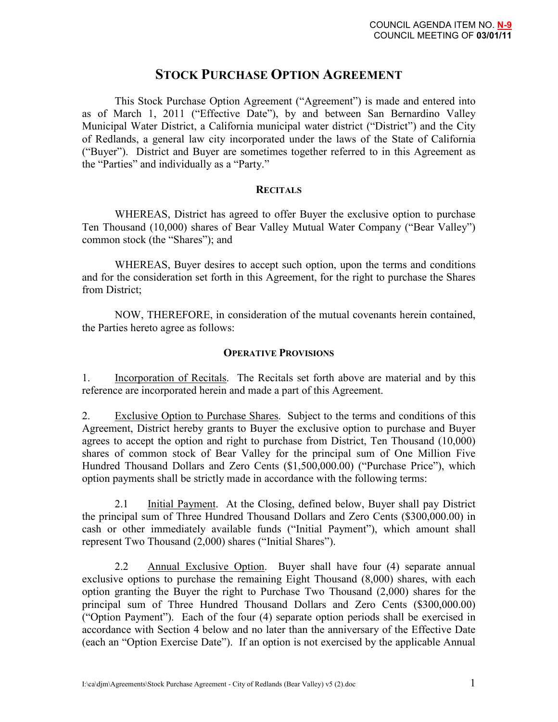# **STOCK PURCHASE OPTION AGREEMENT**

 This Stock Purchase Option Agreement ("Agreement") is made and entered into as of March 1, 2011 ("Effective Date"), by and between San Bernardino Valley Municipal Water District, a California municipal water district ("District") and the City of Redlands, a general law city incorporated under the laws of the State of California ("Buyer"). District and Buyer are sometimes together referred to in this Agreement as the "Parties" and individually as a "Party."

# **RECITALS**

WHEREAS, District has agreed to offer Buyer the exclusive option to purchase Ten Thousand (10,000) shares of Bear Valley Mutual Water Company ("Bear Valley") common stock (the "Shares"); and

WHEREAS, Buyer desires to accept such option, upon the terms and conditions and for the consideration set forth in this Agreement, for the right to purchase the Shares from District;

NOW, THEREFORE, in consideration of the mutual covenants herein contained, the Parties hereto agree as follows:

# **OPERATIVE PROVISIONS**

1. Incorporation of Recitals. The Recitals set forth above are material and by this reference are incorporated herein and made a part of this Agreement.

2. Exclusive Option to Purchase Shares. Subject to the terms and conditions of this Agreement, District hereby grants to Buyer the exclusive option to purchase and Buyer agrees to accept the option and right to purchase from District, Ten Thousand (10,000) shares of common stock of Bear Valley for the principal sum of One Million Five Hundred Thousand Dollars and Zero Cents (\$1,500,000.00) ("Purchase Price"), which option payments shall be strictly made in accordance with the following terms:

 2.1 Initial Payment. At the Closing, defined below, Buyer shall pay District the principal sum of Three Hundred Thousand Dollars and Zero Cents (\$300,000.00) in cash or other immediately available funds ("Initial Payment"), which amount shall represent Two Thousand (2,000) shares ("Initial Shares").

 2.2 Annual Exclusive Option. Buyer shall have four (4) separate annual exclusive options to purchase the remaining Eight Thousand (8,000) shares, with each option granting the Buyer the right to Purchase Two Thousand (2,000) shares for the principal sum of Three Hundred Thousand Dollars and Zero Cents (\$300,000.00) ("Option Payment"). Each of the four (4) separate option periods shall be exercised in accordance with Section 4 below and no later than the anniversary of the Effective Date (each an "Option Exercise Date"). If an option is not exercised by the applicable Annual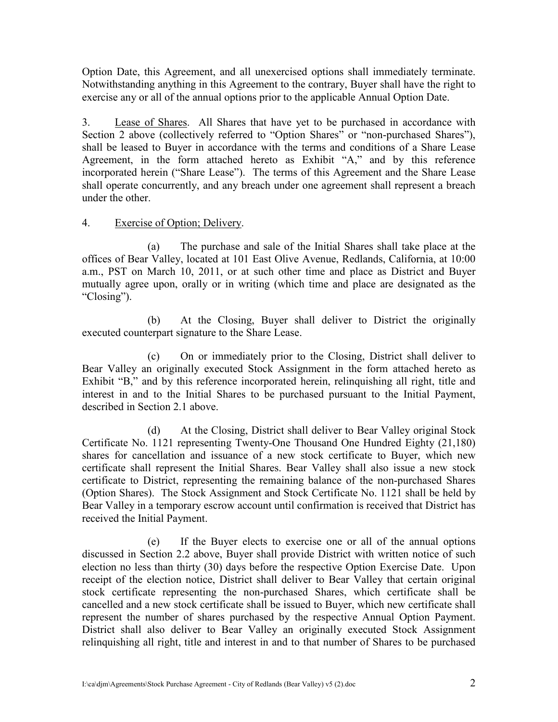Option Date, this Agreement, and all unexercised options shall immediately terminate. Notwithstanding anything in this Agreement to the contrary, Buyer shall have the right to exercise any or all of the annual options prior to the applicable Annual Option Date.

3. Lease of Shares. All Shares that have yet to be purchased in accordance with Section 2 above (collectively referred to "Option Shares" or "non-purchased Shares"), shall be leased to Buyer in accordance with the terms and conditions of a Share Lease Agreement, in the form attached hereto as Exhibit "A," and by this reference incorporated herein ("Share Lease"). The terms of this Agreement and the Share Lease shall operate concurrently, and any breach under one agreement shall represent a breach under the other.

# 4. Exercise of Option; Delivery.

(a) The purchase and sale of the Initial Shares shall take place at the offices of Bear Valley, located at 101 East Olive Avenue, Redlands, California, at 10:00 a.m., PST on March 10, 2011, or at such other time and place as District and Buyer mutually agree upon, orally or in writing (which time and place are designated as the "Closing").

(b) At the Closing, Buyer shall deliver to District the originally executed counterpart signature to the Share Lease.

(c) On or immediately prior to the Closing, District shall deliver to Bear Valley an originally executed Stock Assignment in the form attached hereto as Exhibit "B," and by this reference incorporated herein, relinguishing all right, title and interest in and to the Initial Shares to be purchased pursuant to the Initial Payment, described in Section 2.1 above.

(d) At the Closing, District shall deliver to Bear Valley original Stock Certificate No. 1121 representing Twenty-One Thousand One Hundred Eighty (21,180) shares for cancellation and issuance of a new stock certificate to Buyer, which new certificate shall represent the Initial Shares. Bear Valley shall also issue a new stock certificate to District, representing the remaining balance of the non-purchased Shares (Option Shares). The Stock Assignment and Stock Certificate No. 1121 shall be held by Bear Valley in a temporary escrow account until confirmation is received that District has received the Initial Payment.

(e) If the Buyer elects to exercise one or all of the annual options discussed in Section 2.2 above, Buyer shall provide District with written notice of such election no less than thirty (30) days before the respective Option Exercise Date. Upon receipt of the election notice, District shall deliver to Bear Valley that certain original stock certificate representing the non-purchased Shares, which certificate shall be cancelled and a new stock certificate shall be issued to Buyer, which new certificate shall represent the number of shares purchased by the respective Annual Option Payment. District shall also deliver to Bear Valley an originally executed Stock Assignment relinquishing all right, title and interest in and to that number of Shares to be purchased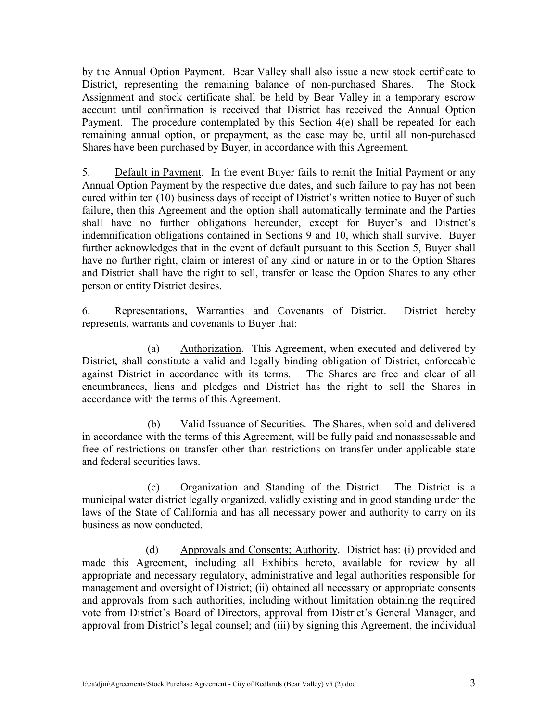by the Annual Option Payment. Bear Valley shall also issue a new stock certificate to District, representing the remaining balance of non-purchased Shares. The Stock Assignment and stock certificate shall be held by Bear Valley in a temporary escrow account until confirmation is received that District has received the Annual Option Payment. The procedure contemplated by this Section 4(e) shall be repeated for each remaining annual option, or prepayment, as the case may be, until all non-purchased Shares have been purchased by Buyer, in accordance with this Agreement.

5. Default in Payment. In the event Buyer fails to remit the Initial Payment or any Annual Option Payment by the respective due dates, and such failure to pay has not been cured within ten (10) business days of receipt of District's written notice to Buyer of such failure, then this Agreement and the option shall automatically terminate and the Parties shall have no further obligations hereunder, except for Buyer's and District's indemnification obligations contained in Sections 9 and 10, which shall survive. Buyer further acknowledges that in the event of default pursuant to this Section 5, Buyer shall have no further right, claim or interest of any kind or nature in or to the Option Shares and District shall have the right to sell, transfer or lease the Option Shares to any other person or entity District desires.

6. Representations, Warranties and Covenants of District. District hereby represents, warrants and covenants to Buyer that:

 (a) Authorization. This Agreement, when executed and delivered by District, shall constitute a valid and legally binding obligation of District, enforceable against District in accordance with its terms. The Shares are free and clear of all encumbrances, liens and pledges and District has the right to sell the Shares in accordance with the terms of this Agreement.

 (b) Valid Issuance of Securities. The Shares, when sold and delivered in accordance with the terms of this Agreement, will be fully paid and nonassessable and free of restrictions on transfer other than restrictions on transfer under applicable state and federal securities laws.

 (c) Organization and Standing of the District. The District is a municipal water district legally organized, validly existing and in good standing under the laws of the State of California and has all necessary power and authority to carry on its business as now conducted.

(d) Approvals and Consents; Authority. District has: (i) provided and made this Agreement, including all Exhibits hereto, available for review by all appropriate and necessary regulatory, administrative and legal authorities responsible for management and oversight of District; (ii) obtained all necessary or appropriate consents and approvals from such authorities, including without limitation obtaining the required vote from District's Board of Directors, approval from District's General Manager, and approval from District's legal counsel; and (iii) by signing this Agreement, the individual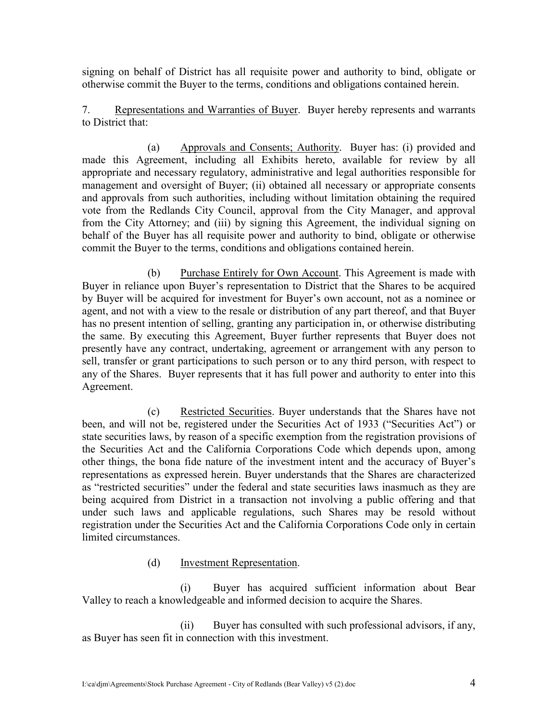signing on behalf of District has all requisite power and authority to bind, obligate or otherwise commit the Buyer to the terms, conditions and obligations contained herein.

7. Representations and Warranties of Buyer. Buyer hereby represents and warrants to District that:

 (a) Approvals and Consents; Authority. Buyer has: (i) provided and made this Agreement, including all Exhibits hereto, available for review by all appropriate and necessary regulatory, administrative and legal authorities responsible for management and oversight of Buyer; (ii) obtained all necessary or appropriate consents and approvals from such authorities, including without limitation obtaining the required vote from the Redlands City Council, approval from the City Manager, and approval from the City Attorney; and (iii) by signing this Agreement, the individual signing on behalf of the Buyer has all requisite power and authority to bind, obligate or otherwise commit the Buyer to the terms, conditions and obligations contained herein.

 (b) Purchase Entirely for Own Account. This Agreement is made with Buyer in reliance upon Buyer's representation to District that the Shares to be acquired by Buyer will be acquired for investment for Buyer's own account, not as a nominee or agent, and not with a view to the resale or distribution of any part thereof, and that Buyer has no present intention of selling, granting any participation in, or otherwise distributing the same. By executing this Agreement, Buyer further represents that Buyer does not presently have any contract, undertaking, agreement or arrangement with any person to sell, transfer or grant participations to such person or to any third person, with respect to any of the Shares. Buyer represents that it has full power and authority to enter into this Agreement.

 (c) Restricted Securities. Buyer understands that the Shares have not been, and will not be, registered under the Securities Act of 1933 ("Securities Act") or state securities laws, by reason of a specific exemption from the registration provisions of the Securities Act and the California Corporations Code which depends upon, among other things, the bona fide nature of the investment intent and the accuracy of Buyer's representations as expressed herein. Buyer understands that the Shares are characterized as "restricted securities" under the federal and state securities laws inasmuch as they are being acquired from District in a transaction not involving a public offering and that under such laws and applicable regulations, such Shares may be resold without registration under the Securities Act and the California Corporations Code only in certain limited circumstances.

# (d) Investment Representation.

 (i) Buyer has acquired sufficient information about Bear Valley to reach a knowledgeable and informed decision to acquire the Shares.

 (ii) Buyer has consulted with such professional advisors, if any, as Buyer has seen fit in connection with this investment.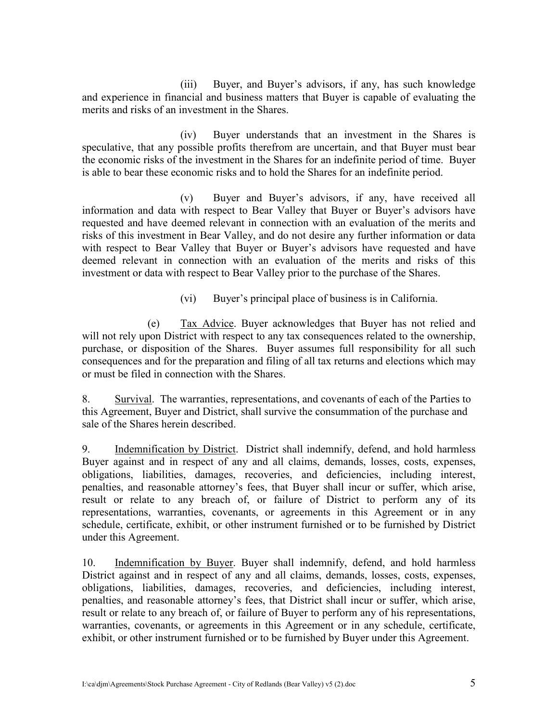(iii) Buyer, and Buyer's advisors, if any, has such knowledge and experience in financial and business matters that Buyer is capable of evaluating the merits and risks of an investment in the Shares.

 (iv) Buyer understands that an investment in the Shares is speculative, that any possible profits therefrom are uncertain, and that Buyer must bear the economic risks of the investment in the Shares for an indefinite period of time. Buyer is able to bear these economic risks and to hold the Shares for an indefinite period.

 (v) Buyer and Buyer's advisors, if any, have received all information and data with respect to Bear Valley that Buyer or Buyer's advisors have requested and have deemed relevant in connection with an evaluation of the merits and risks of this investment in Bear Valley, and do not desire any further information or data with respect to Bear Valley that Buyer or Buyer's advisors have requested and have deemed relevant in connection with an evaluation of the merits and risks of this investment or data with respect to Bear Valley prior to the purchase of the Shares.

(vi) Buyer's principal place of business is in California.

 (e) Tax Advice. Buyer acknowledges that Buyer has not relied and will not rely upon District with respect to any tax consequences related to the ownership, purchase, or disposition of the Shares. Buyer assumes full responsibility for all such consequences and for the preparation and filing of all tax returns and elections which may or must be filed in connection with the Shares.

8. Survival. The warranties, representations, and covenants of each of the Parties to this Agreement, Buyer and District, shall survive the consummation of the purchase and sale of the Shares herein described.

9. Indemnification by District. District shall indemnify, defend, and hold harmless Buyer against and in respect of any and all claims, demands, losses, costs, expenses, obligations, liabilities, damages, recoveries, and deficiencies, including interest, penalties, and reasonable attorney's fees, that Buyer shall incur or suffer, which arise, result or relate to any breach of, or failure of District to perform any of its representations, warranties, covenants, or agreements in this Agreement or in any schedule, certificate, exhibit, or other instrument furnished or to be furnished by District under this Agreement.

10. Indemnification by Buyer. Buyer shall indemnify, defend, and hold harmless District against and in respect of any and all claims, demands, losses, costs, expenses, obligations, liabilities, damages, recoveries, and deficiencies, including interest, penalties, and reasonable attorney's fees, that District shall incur or suffer, which arise, result or relate to any breach of, or failure of Buyer to perform any of his representations, warranties, covenants, or agreements in this Agreement or in any schedule, certificate, exhibit, or other instrument furnished or to be furnished by Buyer under this Agreement.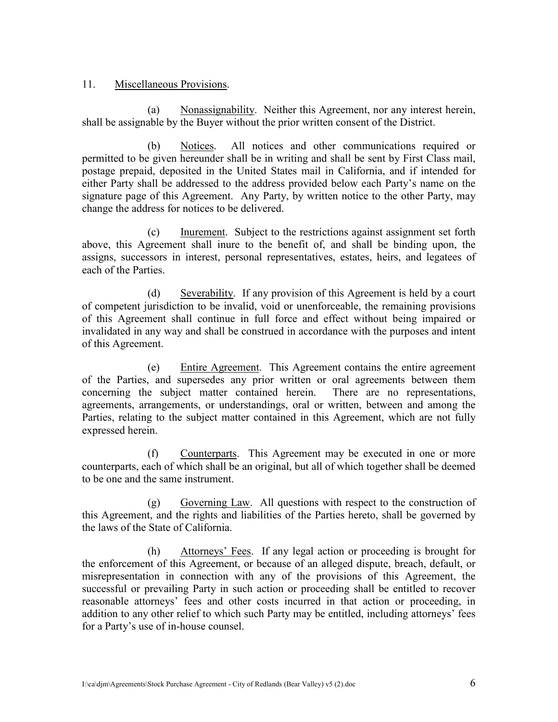# 11. Miscellaneous Provisions.

(a) Nonassignability. Neither this Agreement, nor any interest herein, shall be assignable by the Buyer without the prior written consent of the District.

(b) Notices. All notices and other communications required or permitted to be given hereunder shall be in writing and shall be sent by First Class mail, postage prepaid, deposited in the United States mail in California, and if intended for either Party shall be addressed to the address provided below each Party's name on the signature page of this Agreement. Any Party, by written notice to the other Party, may change the address for notices to be delivered.

(c) Inurement. Subject to the restrictions against assignment set forth above, this Agreement shall inure to the benefit of, and shall be binding upon, the assigns, successors in interest, personal representatives, estates, heirs, and legatees of each of the Parties.

(d) Severability. If any provision of this Agreement is held by a court of competent jurisdiction to be invalid, void or unenforceable, the remaining provisions of this Agreement shall continue in full force and effect without being impaired or invalidated in any way and shall be construed in accordance with the purposes and intent of this Agreement.

(e) Entire Agreement. This Agreement contains the entire agreement of the Parties, and supersedes any prior written or oral agreements between them concerning the subject matter contained herein. There are no representations, agreements, arrangements, or understandings, oral or written, between and among the Parties, relating to the subject matter contained in this Agreement, which are not fully expressed herein.

(f) Counterparts. This Agreement may be executed in one or more counterparts, each of which shall be an original, but all of which together shall be deemed to be one and the same instrument.

(g) Governing Law. All questions with respect to the construction of this Agreement, and the rights and liabilities of the Parties hereto, shall be governed by the laws of the State of California.

(h) Attorneys' Fees. If any legal action or proceeding is brought for the enforcement of this Agreement, or because of an alleged dispute, breach, default, or misrepresentation in connection with any of the provisions of this Agreement, the successful or prevailing Party in such action or proceeding shall be entitled to recover reasonable attorneys' fees and other costs incurred in that action or proceeding, in addition to any other relief to which such Party may be entitled, including attorneys' fees for a Party's use of in-house counsel.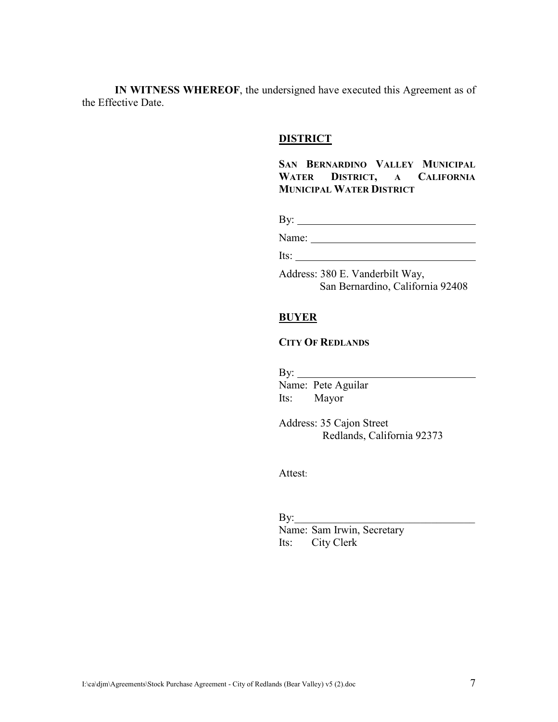**IN WITNESS WHEREOF**, the undersigned have executed this Agreement as of the Effective Date.

#### **DISTRICT**

**SAN BERNARDINO VALLEY MUNICIPAL WATER DISTRICT, A CALIFORNIA MUNICIPAL WATER DISTRICT**

By:

Name:

Its: Address: 380 E. Vanderbilt Way,

San Bernardino, California 92408

# **BUYER**

# **CITY OF REDLANDS**

 By: Name: Pete Aguilar Its: Mayor

> Address: 35 Cajon Street Redlands, California 92373

Attest:

 $\mathrm{By:}\_\_\_\_\_\_\_\_\_\_\_\_$  Name: Sam Irwin, Secretary Its: City Clerk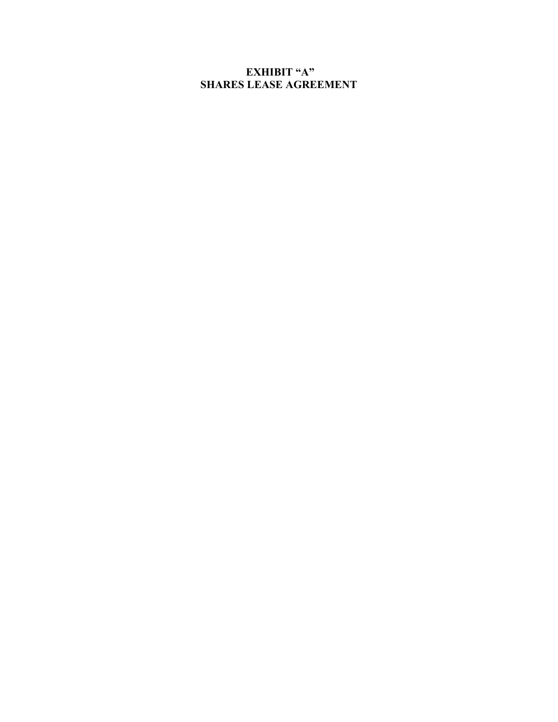# **EXHIBIT "A" SHARES LEASE AGREEMENT**